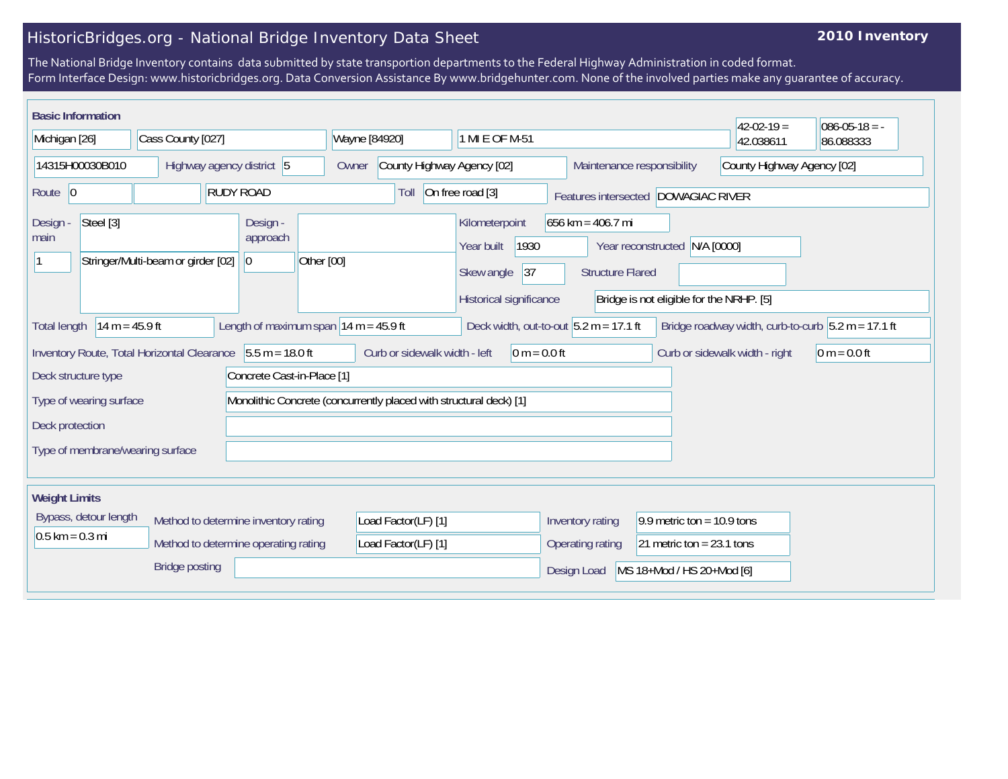## HistoricBridges.org - National Bridge Inventory Data Sheet

## **2010 Inventory**

The National Bridge Inventory contains data submitted by state transportion departments to the Federal Highway Administration in coded format. Form Interface Design: www.historicbridges.org. Data Conversion Assistance By www.bridgehunter.com. None of the involved parties make any guarantee of accuracy.

| <b>Basic Information</b>                                                                                                                                           |                                    |                                                                    |                                     |                                                                                      |                                                                      |                                                        | $42 - 02 - 19 =$                                     | $086 - 05 - 18 = -$ |  |  |
|--------------------------------------------------------------------------------------------------------------------------------------------------------------------|------------------------------------|--------------------------------------------------------------------|-------------------------------------|--------------------------------------------------------------------------------------|----------------------------------------------------------------------|--------------------------------------------------------|------------------------------------------------------|---------------------|--|--|
| Michigan [26]                                                                                                                                                      | Cass County [027]                  |                                                                    | Wayne [84920]                       | 1 MI E OF M-51                                                                       |                                                                      |                                                        | 42.038611                                            | 86.088333           |  |  |
| 14315H00030B010                                                                                                                                                    | Highway agency district 5          |                                                                    | County Highway Agency [02]<br>Owner |                                                                                      | Maintenance responsibility                                           |                                                        | County Highway Agency [02]                           |                     |  |  |
| Route $ 0$                                                                                                                                                         |                                    | <b>RUDY ROAD</b>                                                   | Toll                                | On free road [3]                                                                     | Features intersected DOWAGIAC RIVER                                  |                                                        |                                                      |                     |  |  |
| Steel [3]<br>Design<br>main                                                                                                                                        | Stringer/Multi-beam or girder [02] | Design -<br>approach<br>Other [00]<br>$ 0\rangle$                  |                                     | Kilometerpoint<br>Year built<br>1930<br>Skew angle<br> 37<br>Historical significance | 656 km = $406.7$ mi<br>Year reconstructed<br><b>Structure Flared</b> | N/A [0000]<br>Bridge is not eligible for the NRHP. [5] |                                                      |                     |  |  |
| $14 m = 45.9 ft$<br><b>Total length</b>                                                                                                                            |                                    | Length of maximum span $ 14 \text{ m} = 45.9 \text{ ft} $          |                                     | Deck width, out-to-out $5.2 m = 17.1 ft$                                             |                                                                      |                                                        | Bridge roadway width, curb-to-curb $5.2 m = 17.1 ft$ |                     |  |  |
| Inventory Route, Total Horizontal Clearance 5.5 m = 18.0 ft<br>Curb or sidewalk width - left<br>$0 m = 0.0 ft$<br>Curb or sidewalk width - right<br>$0 m = 0.0 ft$ |                                    |                                                                    |                                     |                                                                                      |                                                                      |                                                        |                                                      |                     |  |  |
| Concrete Cast-in-Place [1]<br>Deck structure type                                                                                                                  |                                    |                                                                    |                                     |                                                                                      |                                                                      |                                                        |                                                      |                     |  |  |
| Type of wearing surface                                                                                                                                            |                                    | Monolithic Concrete (concurrently placed with structural deck) [1] |                                     |                                                                                      |                                                                      |                                                        |                                                      |                     |  |  |
| Deck protection                                                                                                                                                    |                                    |                                                                    |                                     |                                                                                      |                                                                      |                                                        |                                                      |                     |  |  |
| Type of membrane/wearing surface                                                                                                                                   |                                    |                                                                    |                                     |                                                                                      |                                                                      |                                                        |                                                      |                     |  |  |
| <b>Weight Limits</b>                                                                                                                                               |                                    |                                                                    |                                     |                                                                                      |                                                                      |                                                        |                                                      |                     |  |  |
| Bypass, detour length<br>Method to determine inventory rating                                                                                                      |                                    |                                                                    | Load Factor(LF) [1]                 |                                                                                      | Inventory rating                                                     | 9.9 metric ton = $10.9$ tons                           |                                                      |                     |  |  |
| $0.5$ km = 0.3 mi                                                                                                                                                  |                                    | Method to determine operating rating                               | Load Factor(LF) [1]                 |                                                                                      | Operating rating                                                     | 21 metric ton = $23.1$ tons                            |                                                      |                     |  |  |
| <b>Bridge posting</b>                                                                                                                                              |                                    |                                                                    |                                     |                                                                                      | Design Load                                                          | MS 18+Mod / HS 20+Mod [6]                              |                                                      |                     |  |  |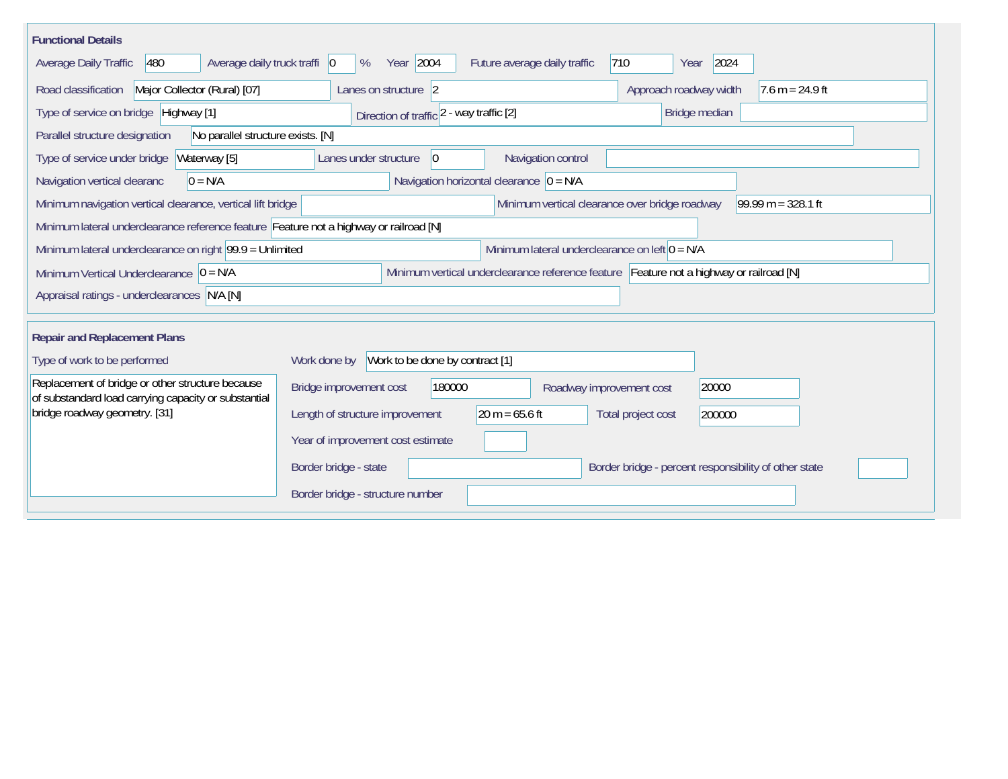| <b>Functional Details</b>                                                                                                             |                                                                                     |  |  |  |  |  |  |  |  |  |
|---------------------------------------------------------------------------------------------------------------------------------------|-------------------------------------------------------------------------------------|--|--|--|--|--|--|--|--|--|
| 480<br>Average daily truck traffi   0<br>Average Daily Traffic                                                                        | Year 2004<br>2024<br> 710<br>Future average daily traffic<br>%<br>Year              |  |  |  |  |  |  |  |  |  |
| Major Collector (Rural) [07]<br>Road classification                                                                                   | Approach roadway width<br>$7.6 m = 24.9 ft$<br>Lanes on structure 2                 |  |  |  |  |  |  |  |  |  |
| Type of service on bridge Highway [1]                                                                                                 | Bridge median<br>Direction of traffic 2 - way traffic [2]                           |  |  |  |  |  |  |  |  |  |
| Parallel structure designation<br>No parallel structure exists. [N]                                                                   |                                                                                     |  |  |  |  |  |  |  |  |  |
| Waterway [5]<br>Type of service under bridge                                                                                          | Navigation control<br>Lanes under structure<br>$\overline{0}$                       |  |  |  |  |  |  |  |  |  |
| Navigation horizontal clearance $ 0 = N/A$<br>Navigation vertical clearanc<br>$0 = N/A$                                               |                                                                                     |  |  |  |  |  |  |  |  |  |
| Minimum navigation vertical clearance, vertical lift bridge<br>Minimum vertical clearance over bridge roadway<br>99.99 m = $328.1$ ft |                                                                                     |  |  |  |  |  |  |  |  |  |
| Minimum lateral underclearance reference feature Feature not a highway or railroad [N]                                                |                                                                                     |  |  |  |  |  |  |  |  |  |
| Minimum lateral underclearance on right $99.9 =$ Unlimited                                                                            | Minimum lateral underclearance on left $0 = N/A$                                    |  |  |  |  |  |  |  |  |  |
| Minimum vertical underclearance reference feature Feature not a highway or railroad [N]<br>Minimum Vertical Underclearance $ 0 = N/A$ |                                                                                     |  |  |  |  |  |  |  |  |  |
| Appraisal ratings - underclearances N/A [N]                                                                                           |                                                                                     |  |  |  |  |  |  |  |  |  |
|                                                                                                                                       |                                                                                     |  |  |  |  |  |  |  |  |  |
| <b>Repair and Replacement Plans</b>                                                                                                   |                                                                                     |  |  |  |  |  |  |  |  |  |
| Type of work to be performed                                                                                                          | Work to be done by contract [1]<br>Work done by                                     |  |  |  |  |  |  |  |  |  |
| Replacement of bridge or other structure because<br>of substandard load carrying capacity or substantial                              | Bridge improvement cost<br>180000<br>20000<br>Roadway improvement cost              |  |  |  |  |  |  |  |  |  |
| bridge roadway geometry. [31]                                                                                                         | $20 m = 65.6 ft$<br>Length of structure improvement<br>Total project cost<br>200000 |  |  |  |  |  |  |  |  |  |
|                                                                                                                                       | Year of improvement cost estimate                                                   |  |  |  |  |  |  |  |  |  |
|                                                                                                                                       | Border bridge - state<br>Border bridge - percent responsibility of other state      |  |  |  |  |  |  |  |  |  |
|                                                                                                                                       | Border bridge - structure number                                                    |  |  |  |  |  |  |  |  |  |